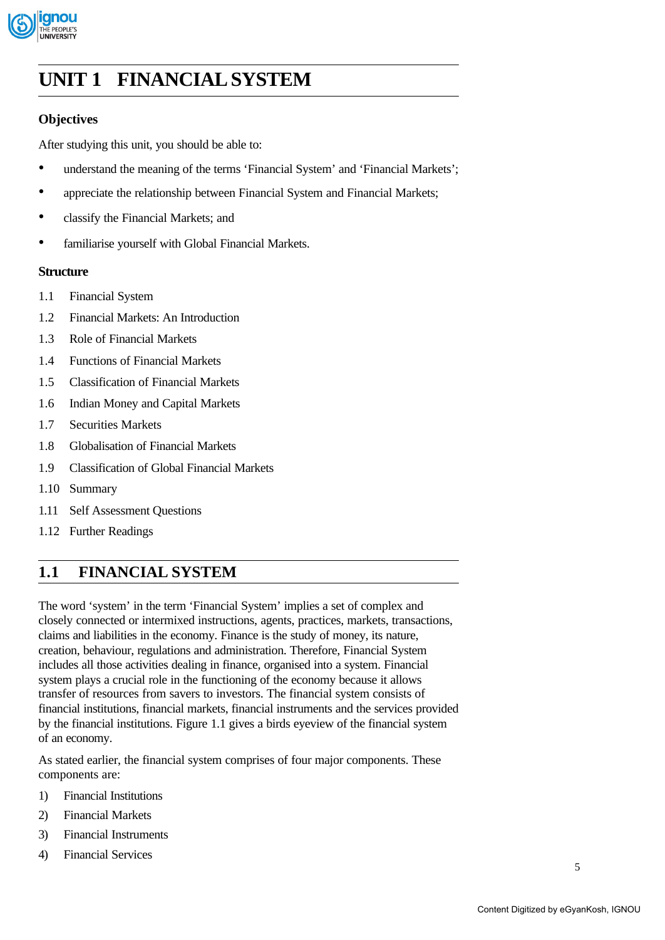

# **Financial System UNIT 1 FINANCIAL SYSTEM**

### **Objectives**

After studying this unit, you should be able to:

- understand the meaning of the terms 'Financial System' and 'Financial Markets';
- appreciate the relationship between Financial System and Financial Markets;
- classify the Financial Markets; and
- familiarise yourself with Global Financial Markets.

### **Structure**

- 1.1 Financial System
- 1.2 Financial Markets: An Introduction
- 1.3 Role of Financial Markets
- 1.4 Functions of Financial Markets
- 1.5 Classification of Financial Markets
- 1.6 Indian Money and Capital Markets
- 1.7 Securities Markets
- 1.8 Globalisation of Financial Markets
- 1.9 Classification of Global Financial Markets
- 1.10 Summary
- 1.11 Self Assessment Questions
- 1.12 Further Readings

# **1.1 FINANCIAL SYSTEM**

The word 'system' in the term 'Financial System' implies a set of complex and closely connected or intermixed instructions, agents, practices, markets, transactions, claims and liabilities in the economy. Finance is the study of money, its nature, creation, behaviour, regulations and administration. Therefore, Financial System includes all those activities dealing in finance, organised into a system. Financial system plays a crucial role in the functioning of the economy because it allows transfer of resources from savers to investors. The financial system consists of financial institutions, financial markets, financial instruments and the services provided by the financial institutions. Figure 1.1 gives a birds eyeview of the financial system of an economy.

As stated earlier, the financial system comprises of four major components. These components are:

- 1) Financial Institutions
- 2) Financial Markets
- 3) Financial Instruments
- 4) Financial Services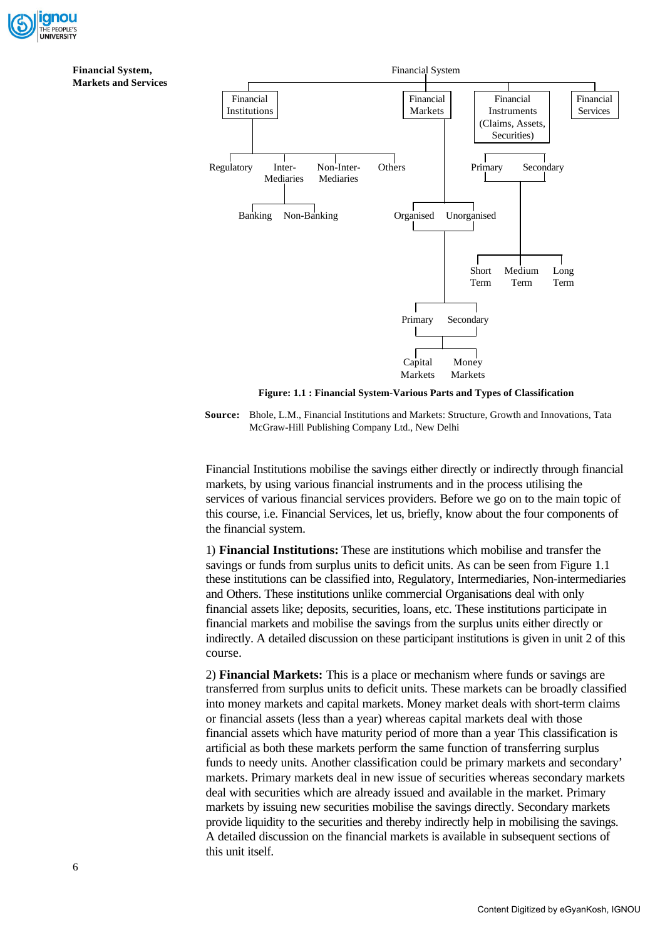

**Financial System, Markets and Services**



**Figure: 1.1 : Financial System-Various Parts and Types of Classification**

**Source:** Bhole, L.M., Financial Institutions and Markets: Structure, Growth and Innovations, Tata McGraw-Hill Publishing Company Ltd., New Delhi

Financial Institutions mobilise the savings either directly or indirectly through financial markets, by using various financial instruments and in the process utilising the services of various financial services providers. Before we go on to the main topic of this course, i.e. Financial Services, let us, briefly, know about the four components of the financial system.

1) **Financial Institutions:** These are institutions which mobilise and transfer the savings or funds from surplus units to deficit units. As can be seen from Figure 1.1 these institutions can be classified into, Regulatory, Intermediaries, Non-intermediaries and Others. These institutions unlike commercial Organisations deal with only financial assets like; deposits, securities, loans, etc. These institutions participate in financial markets and mobilise the savings from the surplus units either directly or indirectly. A detailed discussion on these participant institutions is given in unit 2 of this course.

2) **Financial Markets:** This is a place or mechanism where funds or savings are transferred from surplus units to deficit units. These markets can be broadly classified into money markets and capital markets. Money market deals with short-term claims or financial assets (less than a year) whereas capital markets deal with those financial assets which have maturity period of more than a year This classification is artificial as both these markets perform the same function of transferring surplus funds to needy units. Another classification could be primary markets and secondary' markets. Primary markets deal in new issue of securities whereas secondary markets deal with securities which are already issued and available in the market. Primary markets by issuing new securities mobilise the savings directly. Secondary markets provide liquidity to the securities and thereby indirectly help in mobilising the savings. A detailed discussion on the financial markets is available in subsequent sections of this unit itself.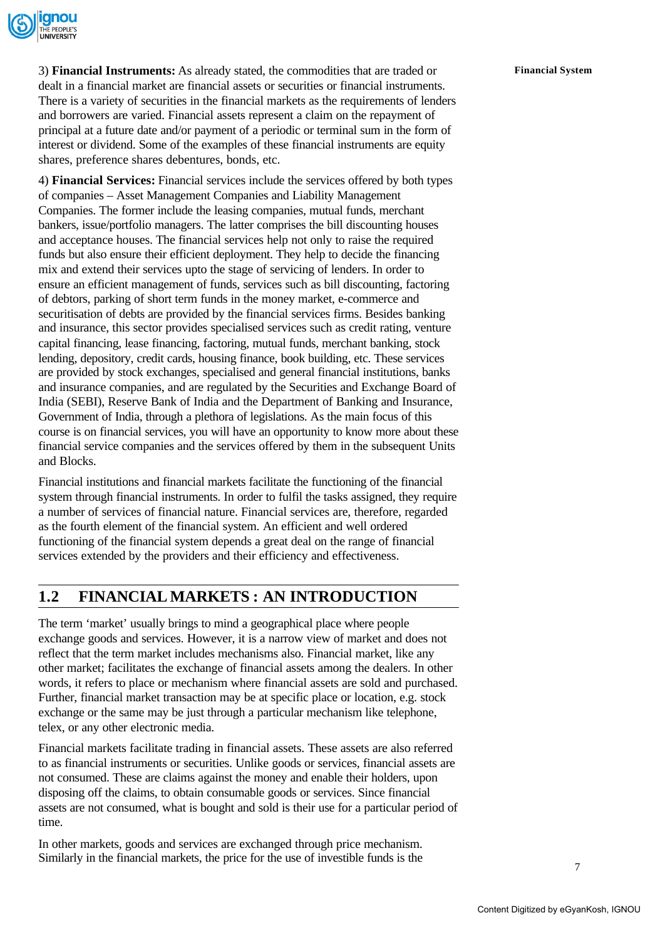

3) **Financial Instruments:** As already stated, the commodities that are traded or **Financial System** dealt in a financial market are financial assets or securities or financial instruments. There is a variety of securities in the financial markets as the requirements of lenders and borrowers are varied. Financial assets represent a claim on the repayment of principal at a future date and/or payment of a periodic or terminal sum in the form of interest or dividend. Some of the examples of these financial instruments are equity shares, preference shares debentures, bonds, etc.

4) **Financial Services:** Financial services include the services offered by both types of companies – Asset Management Companies and Liability Management Companies. The former include the leasing companies, mutual funds, merchant bankers, issue/portfolio managers. The latter comprises the bill discounting houses and acceptance houses. The financial services help not only to raise the required funds but also ensure their efficient deployment. They help to decide the financing mix and extend their services upto the stage of servicing of lenders. In order to ensure an efficient management of funds, services such as bill discounting, factoring of debtors, parking of short term funds in the money market, e-commerce and securitisation of debts are provided by the financial services firms. Besides banking and insurance, this sector provides specialised services such as credit rating, venture capital financing, lease financing, factoring, mutual funds, merchant banking, stock lending, depository, credit cards, housing finance, book building, etc. These services are provided by stock exchanges, specialised and general financial institutions, banks and insurance companies, and are regulated by the Securities and Exchange Board of India (SEBI), Reserve Bank of India and the Department of Banking and Insurance, Government of India, through a plethora of legislations. As the main focus of this course is on financial services, you will have an opportunity to know more about these financial service companies and the services offered by them in the subsequent Units and Blocks.

Financial institutions and financial markets facilitate the functioning of the financial system through financial instruments. In order to fulfil the tasks assigned, they require a number of services of financial nature. Financial services are, therefore, regarded as the fourth element of the financial system. An efficient and well ordered functioning of the financial system depends a great deal on the range of financial services extended by the providers and their efficiency and effectiveness.

## **1.2 FINANCIAL MARKETS : AN INTRODUCTION**

The term 'market' usually brings to mind a geographical place where people exchange goods and services. However, it is a narrow view of market and does not reflect that the term market includes mechanisms also. Financial market, like any other market; facilitates the exchange of financial assets among the dealers. In other words, it refers to place or mechanism where financial assets are sold and purchased. Further, financial market transaction may be at specific place or location, e.g. stock exchange or the same may be just through a particular mechanism like telephone, telex, or any other electronic media.

Financial markets facilitate trading in financial assets. These assets are also referred to as financial instruments or securities. Unlike goods or services, financial assets are not consumed. These are claims against the money and enable their holders, upon disposing off the claims, to obtain consumable goods or services. Since financial assets are not consumed, what is bought and sold is their use for a particular period of time.

In other markets, goods and services are exchanged through price mechanism. Similarly in the financial markets, the price for the use of investible funds is the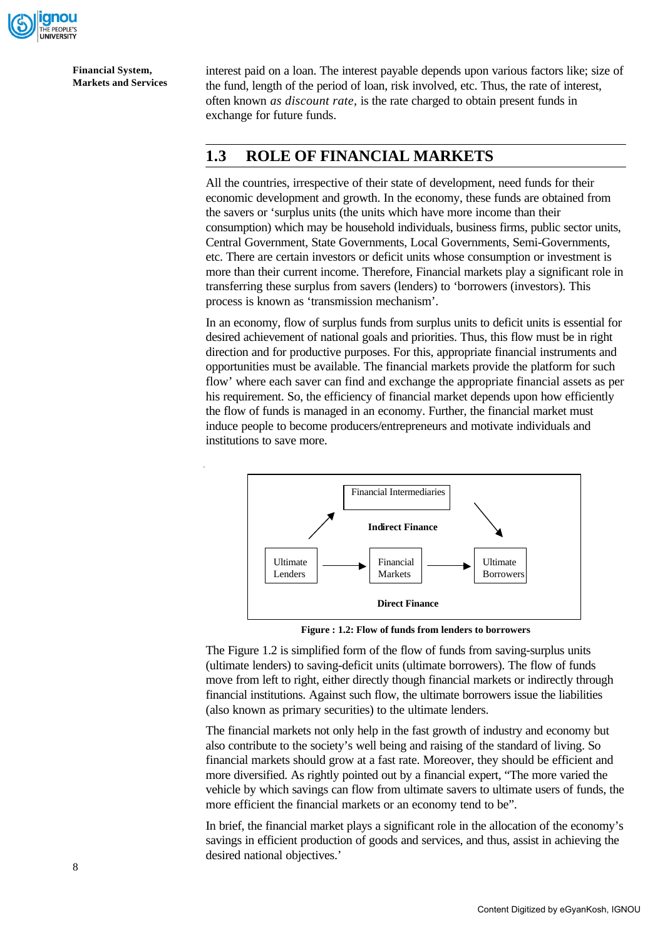

interest paid on a loan. The interest payable depends upon various factors like; size of the fund, length of the period of loan, risk involved, etc. Thus, the rate of interest, often known *as discount rate,* is the rate charged to obtain present funds in exchange for future funds.

## **1.3 ROLE OF FINANCIAL MARKETS**

All the countries, irrespective of their state of development, need funds for their economic development and growth. In the economy, these funds are obtained from the savers or 'surplus units (the units which have more income than their consumption) which may be household individuals, business firms, public sector units, Central Government, State Governments, Local Governments, Semi-Governments, etc. There are certain investors or deficit units whose consumption or investment is more than their current income. Therefore, Financial markets play a significant role in transferring these surplus from savers (lenders) to 'borrowers (investors). This process is known as 'transmission mechanism'.

In an economy, flow of surplus funds from surplus units to deficit units is essential for desired achievement of national goals and priorities. Thus, this flow must be in right direction and for productive purposes. For this, appropriate financial instruments and opportunities must be available. The financial markets provide the platform for such flow' where each saver can find and exchange the appropriate financial assets as per his requirement. So, the efficiency of financial market depends upon how efficiently the flow of funds is managed in an economy. Further, the financial market must induce people to become producers/entrepreneurs and motivate individuals and institutions to save more.



**Figure : 1.2: Flow of funds from lenders to borrowers**

The Figure 1.2 is simplified form of the flow of funds from saving-surplus units (ultimate lenders) to saving-deficit units (ultimate borrowers). The flow of funds move from left to right, either directly though financial markets or indirectly through financial institutions. Against such flow, the ultimate borrowers issue the liabilities (also known as primary securities) to the ultimate lenders.

The financial markets not only help in the fast growth of industry and economy but also contribute to the society's well being and raising of the standard of living. So financial markets should grow at a fast rate. Moreover, they should be efficient and more diversified. As rightly pointed out by a financial expert, "The more varied the vehicle by which savings can flow from ultimate savers to ultimate users of funds, the more efficient the financial markets or an economy tend to be".

In brief, the financial market plays a significant role in the allocation of the economy's savings in efficient production of goods and services, and thus, assist in achieving the desired national objectives.'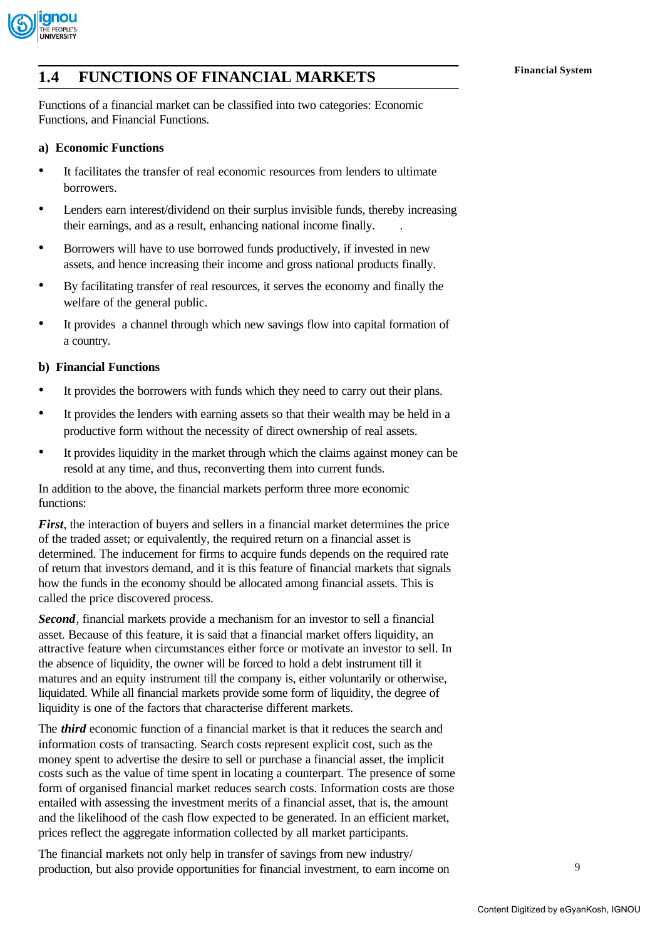

# **Financial System 1.4 FUNCTIONS OF FINANCIAL MARKETS**

Functions of a financial market can be classified into two categories: Economic Functions, and Financial Functions.

### **a) Economic Functions**

- It facilitates the transfer of real economic resources from lenders to ultimate borrowers.
- Lenders earn interest/dividend on their surplus invisible funds, thereby increasing their earnings, and as a result, enhancing national income finally. .
- Borrowers will have to use borrowed funds productively, if invested in new assets, and hence increasing their income and gross national products finally.
- By facilitating transfer of real resources, it serves the economy and finally the welfare of the general public.
- It provides a channel through which new savings flow into capital formation of a country.

#### **b) Financial Functions**

- It provides the borrowers with funds which they need to carry out their plans.
- It provides the lenders with earning assets so that their wealth may be held in a productive form without the necessity of direct ownership of real assets.
- It provides liquidity in the market through which the claims against money can be resold at any time, and thus, reconverting them into current funds.

In addition to the above, the financial markets perform three more economic functions:

*First*, the interaction of buyers and sellers in a financial market determines the price of the traded asset; or equivalently, the required return on a financial asset is determined. The inducement for firms to acquire funds depends on the required rate of return that investors demand, and it is this feature of financial markets that signals how the funds in the economy should be allocated among financial assets. This is called the price discovered process.

*Second*, financial markets provide a mechanism for an investor to sell a financial asset. Because of this feature, it is said that a financial market offers liquidity, an attractive feature when circumstances either force or motivate an investor to sell. In the absence of liquidity, the owner will be forced to hold a debt instrument till it matures and an equity instrument till the company is, either voluntarily or otherwise, liquidated. While all financial markets provide some form of liquidity, the degree of liquidity is one of the factors that characterise different markets.

The *third* economic function of a financial market is that it reduces the search and information costs of transacting. Search costs represent explicit cost, such as the money spent to advertise the desire to sell or purchase a financial asset, the implicit costs such as the value of time spent in locating a counterpart. The presence of some form of organised financial market reduces search costs. Information costs are those entailed with assessing the investment merits of a financial asset, that is, the amount and the likelihood of the cash flow expected to be generated. In an efficient market, prices reflect the aggregate information collected by all market participants.

The financial markets not only help in transfer of savings from new industry/ production, but also provide opportunities for financial investment, to earn income on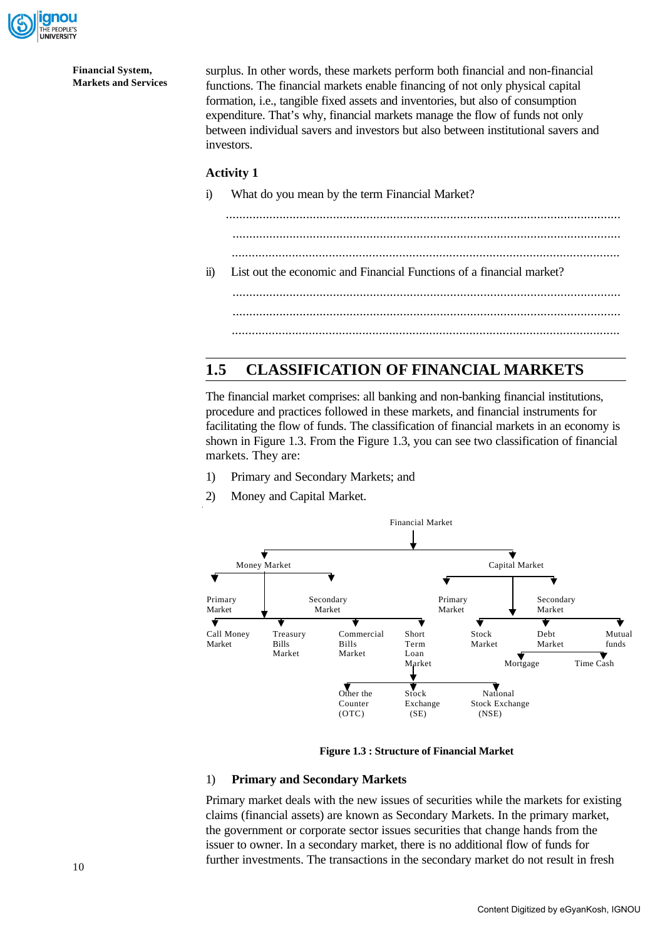

surplus. In other words, these markets perform both financial and non-financial functions. The financial markets enable financing of not only physical capital formation, i.e., tangible fixed assets and inventories, but also of consumption expenditure. That's why, financial markets manage the flow of funds not only between individual savers and investors but also between institutional savers and investors.

### **Activity 1**

i) What do you mean by the term Financial Market?

 ...................................................................................................................... .................................................................................................................... .................................................................................................................... ii) List out the economic and Financial Functions of a financial market? .................................................................................................................... ....................................................................................................................

....................................................................................................................

# **1.5 CLASSIFICATION OF FINANCIAL MARKETS**

The financial market comprises: all banking and non-banking financial institutions, procedure and practices followed in these markets, and financial instruments for facilitating the flow of funds. The classification of financial markets in an economy is shown in Figure 1.3. From the Figure 1.3, you can see two classification of financial markets. They are:

- 1) Primary and Secondary Markets; and
- 2) Money and Capital Market.



**Figure 1.3 : Structure of Financial Market**

#### 1) **Primary and Secondary Markets**

Primary market deals with the new issues of securities while the markets for existing claims (financial assets) are known as Secondary Markets. In the primary market, the government or corporate sector issues securities that change hands from the issuer to owner. In a secondary market, there is no additional flow of funds for further investments. The transactions in the secondary market do not result in fresh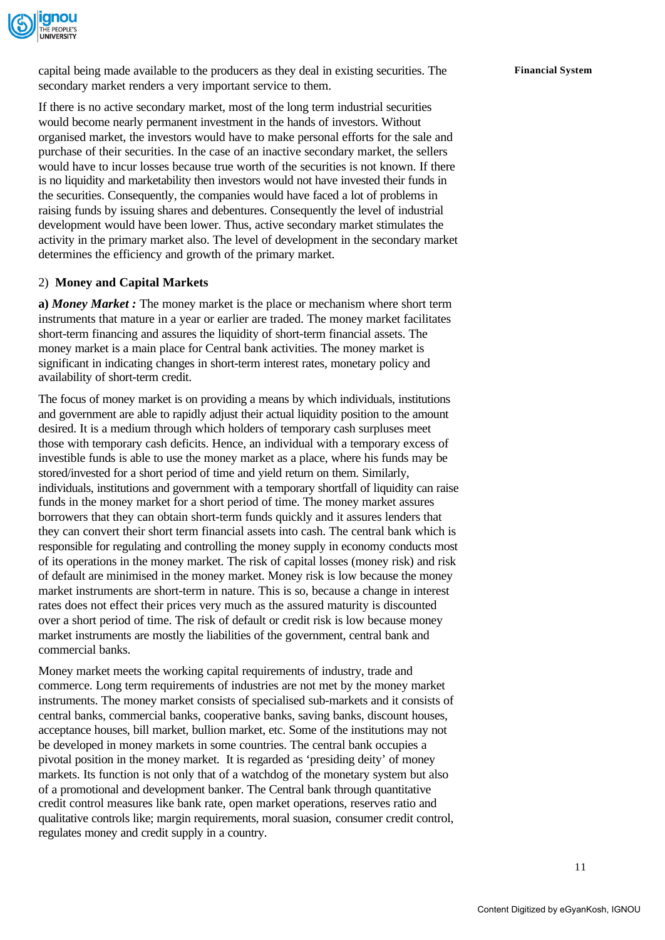

capital being made available to the producers as they deal in existing securities. The **Financial System** secondary market renders a very important service to them.

If there is no active secondary market, most of the long term industrial securities would become nearly permanent investment in the hands of investors. Without organised market, the investors would have to make personal efforts for the sale and purchase of their securities. In the case of an inactive secondary market, the sellers would have to incur losses because true worth of the securities is not known. If there is no liquidity and marketability then investors would not have invested their funds in the securities. Consequently, the companies would have faced a lot of problems in raising funds by issuing shares and debentures. Consequently the level of industrial development would have been lower. Thus, active secondary market stimulates the activity in the primary market also. The level of development in the secondary market determines the efficiency and growth of the primary market.

### 2) **Money and Capital Markets**

**a)** *Money Market :* The money market is the place or mechanism where short term instruments that mature in a year or earlier are traded. The money market facilitates short-term financing and assures the liquidity of short-term financial assets. The money market is a main place for Central bank activities. The money market is significant in indicating changes in short-term interest rates, monetary policy and availability of short-term credit.

The focus of money market is on providing a means by which individuals, institutions and government are able to rapidly adjust their actual liquidity position to the amount desired. It is a medium through which holders of temporary cash surpluses meet those with temporary cash deficits. Hence, an individual with a temporary excess of investible funds is able to use the money market as a place, where his funds may be stored/invested for a short period of time and yield return on them. Similarly, individuals, institutions and government with a temporary shortfall of liquidity can raise funds in the money market for a short period of time. The money market assures borrowers that they can obtain short-term funds quickly and it assures lenders that they can convert their short term financial assets into cash. The central bank which is responsible for regulating and controlling the money supply in economy conducts most of its operations in the money market. The risk of capital losses (money risk) and risk of default are minimised in the money market. Money risk is low because the money market instruments are short-term in nature. This is so, because a change in interest rates does not effect their prices very much as the assured maturity is discounted over a short period of time. The risk of default or credit risk is low because money market instruments are mostly the liabilities of the government, central bank and commercial banks.

Money market meets the working capital requirements of industry, trade and commerce. Long term requirements of industries are not met by the money market instruments. The money market consists of specialised sub-markets and it consists of central banks, commercial banks, cooperative banks, saving banks, discount houses, acceptance houses, bill market, bullion market, etc. Some of the institutions may not be developed in money markets in some countries. The central bank occupies a pivotal position in the money market. It is regarded as 'presiding deity' of money markets. Its function is not only that of a watchdog of the monetary system but also of a promotional and development banker. The Central bank through quantitative credit control measures like bank rate, open market operations, reserves ratio and qualitative controls like; margin requirements, moral suasion, consumer credit control, regulates money and credit supply in a country.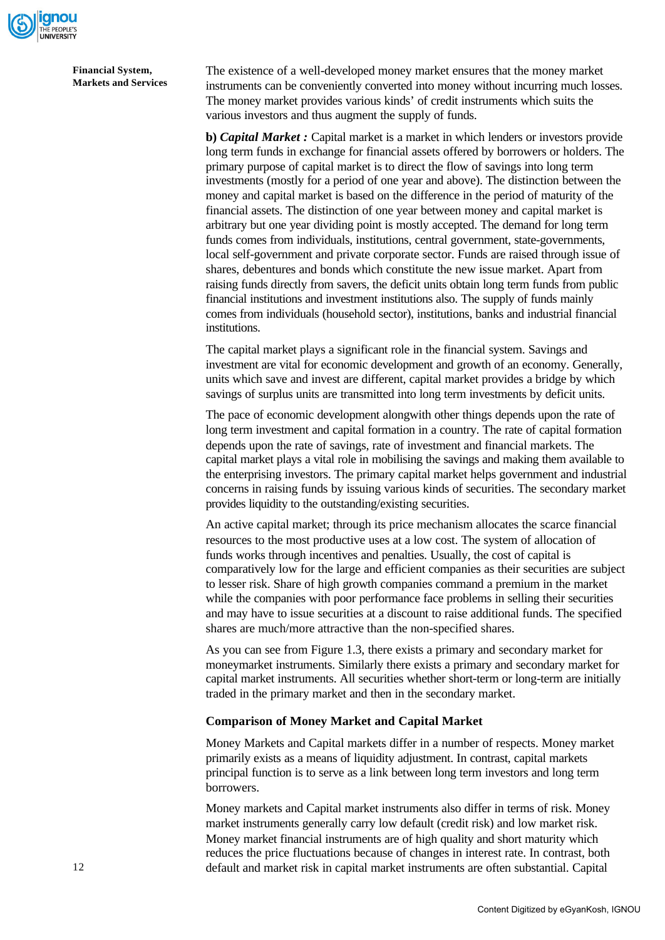

The existence of a well-developed money market ensures that the money market instruments can be conveniently converted into money without incurring much losses. The money market provides various kinds' of credit instruments which suits the various investors and thus augment the supply of funds.

**b)** *Capital Market :* Capital market is a market in which lenders or investors provide long term funds in exchange for financial assets offered by borrowers or holders. The primary purpose of capital market is to direct the flow of savings into long term investments (mostly for a period of one year and above). The distinction between the money and capital market is based on the difference in the period of maturity of the financial assets. The distinction of one year between money and capital market is arbitrary but one year dividing point is mostly accepted. The demand for long term funds comes from individuals, institutions, central government, state-governments, local self-government and private corporate sector. Funds are raised through issue of shares, debentures and bonds which constitute the new issue market. Apart from raising funds directly from savers, the deficit units obtain long term funds from public financial institutions and investment institutions also. The supply of funds mainly comes from individuals (household sector), institutions, banks and industrial financial institutions.

The capital market plays a significant role in the financial system. Savings and investment are vital for economic development and growth of an economy. Generally, units which save and invest are different, capital market provides a bridge by which savings of surplus units are transmitted into long term investments by deficit units.

The pace of economic development alongwith other things depends upon the rate of long term investment and capital formation in a country. The rate of capital formation depends upon the rate of savings, rate of investment and financial markets. The capital market plays a vital role in mobilising the savings and making them available to the enterprising investors. The primary capital market helps government and industrial concerns in raising funds by issuing various kinds of securities. The secondary market provides liquidity to the outstanding/existing securities.

An active capital market; through its price mechanism allocates the scarce financial resources to the most productive uses at a low cost. The system of allocation of funds works through incentives and penalties. Usually, the cost of capital is comparatively low for the large and efficient companies as their securities are subject to lesser risk. Share of high growth companies command a premium in the market while the companies with poor performance face problems in selling their securities and may have to issue securities at a discount to raise additional funds. The specified shares are much/more attractive than the non-specified shares.

As you can see from Figure 1.3, there exists a primary and secondary market for moneymarket instruments. Similarly there exists a primary and secondary market for capital market instruments. All securities whether short-term or long-term are initially traded in the primary market and then in the secondary market.

### **Comparison of Money Market and Capital Market**

Money Markets and Capital markets differ in a number of respects. Money market primarily exists as a means of liquidity adjustment. In contrast, capital markets principal function is to serve as a link between long term investors and long term borrowers.

Money markets and Capital market instruments also differ in terms of risk. Money market instruments generally carry low default (credit risk) and low market risk. Money market financial instruments are of high quality and short maturity which reduces the price fluctuations because of changes in interest rate. In contrast, both default and market risk in capital market instruments are often substantial. Capital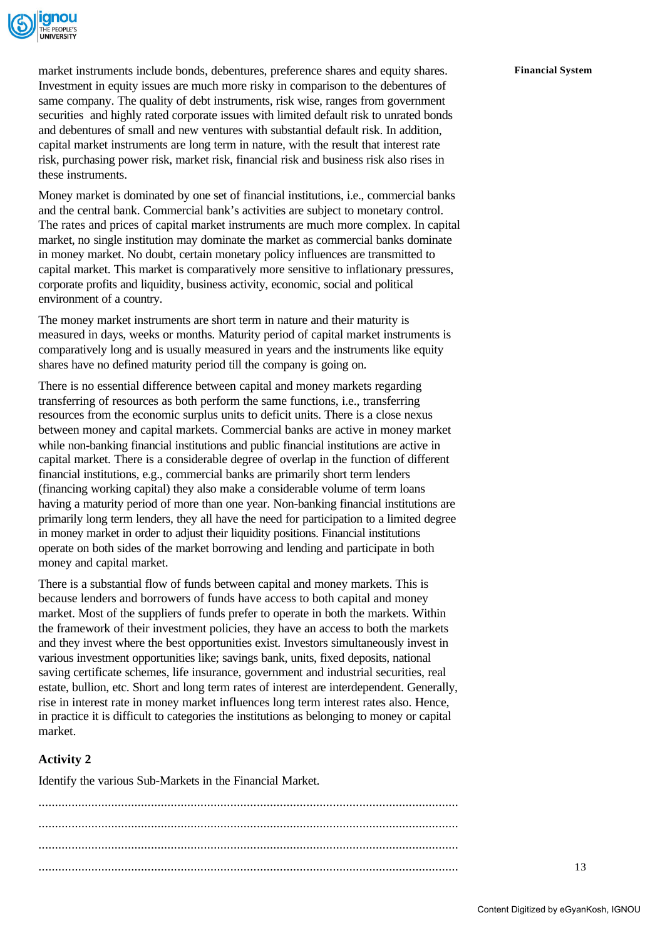

market instruments include bonds, debentures, preference shares and equity shares. **Financial System** Investment in equity issues are much more risky in comparison to the debentures of same company. The quality of debt instruments, risk wise, ranges from government securities and highly rated corporate issues with limited default risk to unrated bonds and debentures of small and new ventures with substantial default risk. In addition, capital market instruments are long term in nature, with the result that interest rate risk, purchasing power risk, market risk, financial risk and business risk also rises in these instruments.

Money market is dominated by one set of financial institutions, i.e., commercial banks and the central bank. Commercial bank's activities are subject to monetary control. The rates and prices of capital market instruments are much more complex. In capital market, no single institution may dominate the market as commercial banks dominate in money market. No doubt, certain monetary policy influences are transmitted to capital market. This market is comparatively more sensitive to inflationary pressures, corporate profits and liquidity, business activity, economic, social and political environment of a country.

The money market instruments are short term in nature and their maturity is measured in days, weeks or months. Maturity period of capital market instruments is comparatively long and is usually measured in years and the instruments like equity shares have no defined maturity period till the company is going on.

There is no essential difference between capital and money markets regarding transferring of resources as both perform the same functions, i.e., transferring resources from the economic surplus units to deficit units. There is a close nexus between money and capital markets. Commercial banks are active in money market while non-banking financial institutions and public financial institutions are active in capital market. There is a considerable degree of overlap in the function of different financial institutions, e.g., commercial banks are primarily short term lenders (financing working capital) they also make a considerable volume of term loans having a maturity period of more than one year. Non-banking financial institutions are primarily long term lenders, they all have the need for participation to a limited degree in money market in order to adjust their liquidity positions. Financial institutions operate on both sides of the market borrowing and lending and participate in both money and capital market.

There is a substantial flow of funds between capital and money markets. This is because lenders and borrowers of funds have access to both capital and money market. Most of the suppliers of funds prefer to operate in both the markets. Within the framework of their investment policies, they have an access to both the markets and they invest where the best opportunities exist. Investors simultaneously invest in various investment opportunities like; savings bank, units, fixed deposits, national saving certificate schemes, life insurance, government and industrial securities, real estate, bullion, etc. Short and long term rates of interest are interdependent. Generally, rise in interest rate in money market influences long term interest rates also. Hence, in practice it is difficult to categories the institutions as belonging to money or capital market.

### **Activity 2**

Identify the various Sub-Markets in the Financial Market.

............................................................................................................................... ............................................................................................................................... ............................................................................................................................... ...............................................................................................................................

13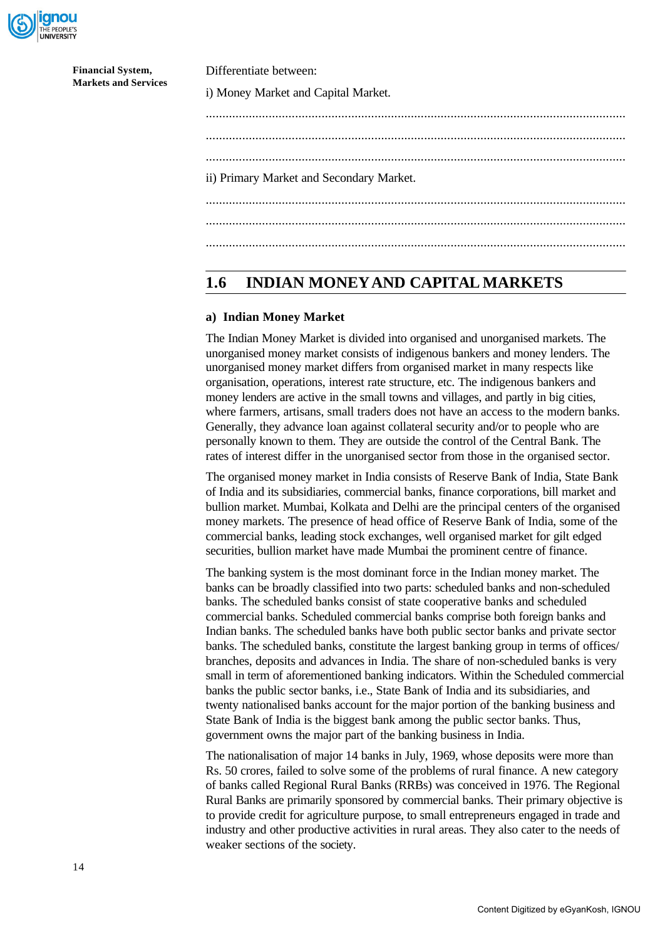

| <b>Financial System,</b><br><b>Markets and Services</b> | Differentiate between:<br>i) Money Market and Capital Market. |
|---------------------------------------------------------|---------------------------------------------------------------|
|                                                         |                                                               |
|                                                         | ii) Primary Market and Secondary Market.                      |
|                                                         |                                                               |
|                                                         |                                                               |

## **1.6 INDIAN MONEYAND CAPITAL MARKETS**

### **a) Indian Money Market**

The Indian Money Market is divided into organised and unorganised markets. The unorganised money market consists of indigenous bankers and money lenders. The unorganised money market differs from organised market in many respects like organisation, operations, interest rate structure, etc. The indigenous bankers and money lenders are active in the small towns and villages, and partly in big cities, where farmers, artisans, small traders does not have an access to the modern banks. Generally, they advance loan against collateral security and/or to people who are personally known to them. They are outside the control of the Central Bank. The rates of interest differ in the unorganised sector from those in the organised sector.

The organised money market in India consists of Reserve Bank of India, State Bank of India and its subsidiaries, commercial banks, finance corporations, bill market and bullion market. Mumbai, Kolkata and Delhi are the principal centers of the organised money markets. The presence of head office of Reserve Bank of India, some of the commercial banks, leading stock exchanges, well organised market for gilt edged securities, bullion market have made Mumbai the prominent centre of finance.

The banking system is the most dominant force in the Indian money market. The banks can be broadly classified into two parts: scheduled banks and non-scheduled banks. The scheduled banks consist of state cooperative banks and scheduled commercial banks. Scheduled commercial banks comprise both foreign banks and Indian banks. The scheduled banks have both public sector banks and private sector banks. The scheduled banks, constitute the largest banking group in terms of offices/ branches, deposits and advances in India. The share of non-scheduled banks is very small in term of aforementioned banking indicators. Within the Scheduled commercial banks the public sector banks, i.e., State Bank of India and its subsidiaries, and twenty nationalised banks account for the major portion of the banking business and State Bank of India is the biggest bank among the public sector banks. Thus, government owns the major part of the banking business in India.

The nationalisation of major 14 banks in July, 1969, whose deposits were more than Rs. 50 crores, failed to solve some of the problems of rural finance. A new category of banks called Regional Rural Banks (RRBs) was conceived in 1976. The Regional Rural Banks are primarily sponsored by commercial banks. Their primary objective is to provide credit for agriculture purpose, to small entrepreneurs engaged in trade and industry and other productive activities in rural areas. They also cater to the needs of weaker sections of the society.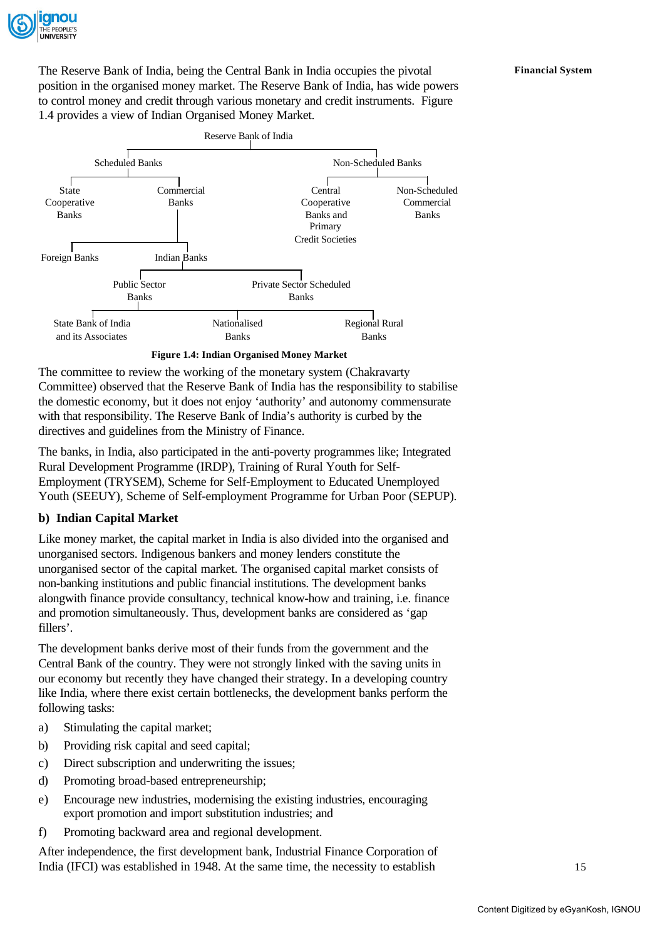

The Reserve Bank of India, being the Central Bank in India occupies the pivotal **Financial System** position in the organised money market. The Reserve Bank of India, has wide powers to control money and credit through various monetary and credit instruments. Figure 1.4 provides a view of Indian Organised Money Market.



**Figure 1.4: Indian Organised Money Market**

The committee to review the working of the monetary system (Chakravarty Committee) observed that the Reserve Bank of India has the responsibility to stabilise the domestic economy, but it does not enjoy 'authority' and autonomy commensurate with that responsibility. The Reserve Bank of India's authority is curbed by the directives and guidelines from the Ministry of Finance.

The banks, in India, also participated in the anti-poverty programmes like; Integrated Rural Development Programme (IRDP), Training of Rural Youth for Self-Employment (TRYSEM), Scheme for Self-Employment to Educated Unemployed Youth (SEEUY), Scheme of Self-employment Programme for Urban Poor (SEPUP).

### **b) Indian Capital Market**

Like money market, the capital market in India is also divided into the organised and unorganised sectors. Indigenous bankers and money lenders constitute the unorganised sector of the capital market. The organised capital market consists of non-banking institutions and public financial institutions. The development banks alongwith finance provide consultancy, technical know-how and training, i.e. finance and promotion simultaneously. Thus, development banks are considered as 'gap fillers'.

The development banks derive most of their funds from the government and the Central Bank of the country. They were not strongly linked with the saving units in our economy but recently they have changed their strategy. In a developing country like India, where there exist certain bottlenecks, the development banks perform the following tasks:

- a) Stimulating the capital market;
- b) Providing risk capital and seed capital;
- c) Direct subscription and underwriting the issues;
- d) Promoting broad-based entrepreneurship;
- e) Encourage new industries, modernising the existing industries, encouraging export promotion and import substitution industries; and
- f) Promoting backward area and regional development.

After independence, the first development bank, Industrial Finance Corporation of India (IFCI) was established in 1948. At the same time, the necessity to establish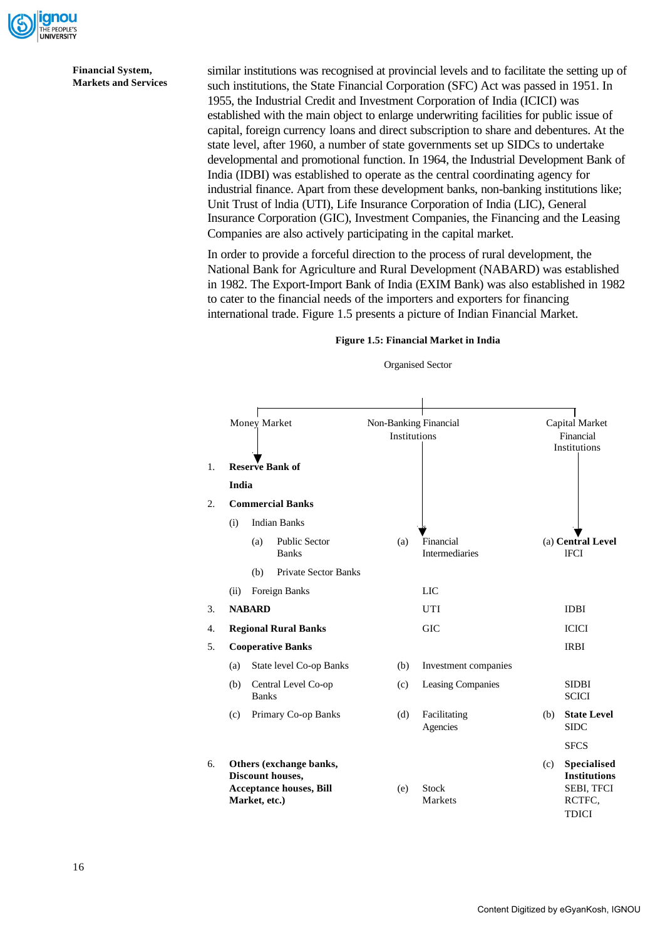

similar institutions was recognised at provincial levels and to facilitate the setting up of such institutions, the State Financial Corporation (SFC) Act was passed in 1951. In 1955, the Industrial Credit and Investment Corporation of India (ICICI) was established with the main object to enlarge underwriting facilities for public issue of capital, foreign currency loans and direct subscription to share and debentures. At the state level, after 1960, a number of state governments set up SIDCs to undertake developmental and promotional function. In 1964, the Industrial Development Bank of India (IDBI) was established to operate as the central coordinating agency for industrial finance. Apart from these development banks, non-banking institutions like; Unit Trust of lndia (UTI), Life Insurance Corporation of India (LIC), General Insurance Corporation (GIC), Investment Companies, the Financing and the Leasing Companies are also actively participating in the capital market.

In order to provide a forceful direction to the process of rural development, the National Bank for Agriculture and Rural Development (NABARD) was established in 1982. The Export-Import Bank of India (EXIM Bank) was also established in 1982 to cater to the financial needs of the importers and exporters for financing international trade. Figure 1.5 presents a picture of Indian Financial Market.

#### **Figure 1.5: Financial Market in India**



Organised Sector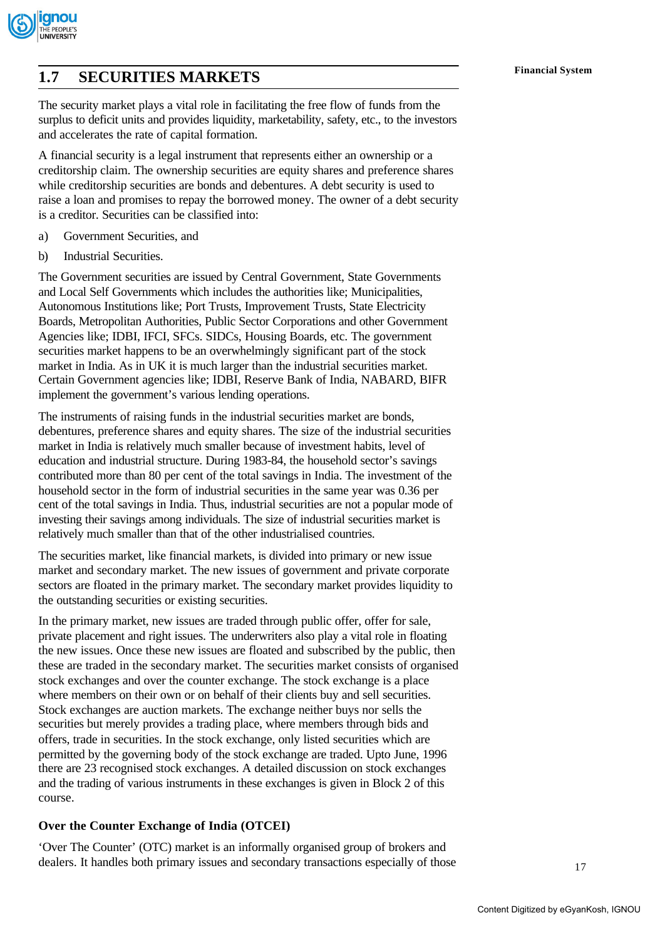

# **Financial System 1.7 SECURITIES MARKETS**

The security market plays a vital role in facilitating the free flow of funds from the surplus to deficit units and provides liquidity, marketability, safety, etc., to the investors and accelerates the rate of capital formation.

A financial security is a legal instrument that represents either an ownership or a creditorship claim. The ownership securities are equity shares and preference shares while creditorship securities are bonds and debentures. A debt security is used to raise a loan and promises to repay the borrowed money. The owner of a debt security is a creditor. Securities can be classified into:

- a) Government Securities, and
- b) Industrial Securities.

The Government securities are issued by Central Government, State Governments and Local Self Governments which includes the authorities like; Municipalities, Autonomous Institutions like; Port Trusts, Improvement Trusts, State Electricity Boards, Metropolitan Authorities, Public Sector Corporations and other Government Agencies like; IDBI, IFCI, SFCs. SIDCs, Housing Boards, etc. The government securities market happens to be an overwhelmingly significant part of the stock market in India. As in UK it is much larger than the industrial securities market. Certain Government agencies like; IDBI, Reserve Bank of India, NABARD, BIFR implement the government's various lending operations.

The instruments of raising funds in the industrial securities market are bonds, debentures, preference shares and equity shares. The size of the industrial securities market in India is relatively much smaller because of investment habits, level of education and industrial structure. During 1983-84, the household sector's savings contributed more than 80 per cent of the total savings in India. The investment of the household sector in the form of industrial securities in the same year was 0.36 per cent of the total savings in India. Thus, industrial securities are not a popular mode of investing their savings among individuals. The size of industrial securities market is relatively much smaller than that of the other industrialised countries.

The securities market, like financial markets, is divided into primary or new issue market and secondary market. The new issues of government and private corporate sectors are floated in the primary market. The secondary market provides liquidity to the outstanding securities or existing securities.

In the primary market, new issues are traded through public offer, offer for sale, private placement and right issues. The underwriters also play a vital role in floating the new issues. Once these new issues are floated and subscribed by the public, then these are traded in the secondary market. The securities market consists of organised stock exchanges and over the counter exchange. The stock exchange is a place where members on their own or on behalf of their clients buy and sell securities. Stock exchanges are auction markets. The exchange neither buys nor sells the securities but merely provides a trading place, where members through bids and offers, trade in securities. In the stock exchange, only listed securities which are permitted by the governing body of the stock exchange are traded. Upto June, 1996 there are 23 recognised stock exchanges. A detailed discussion on stock exchanges and the trading of various instruments in these exchanges is given in Block 2 of this course.

### **Over the Counter Exchange of India (OTCEI)**

'Over The Counter' (OTC) market is an informally organised group of brokers and dealers. It handles both primary issues and secondary transactions especially of those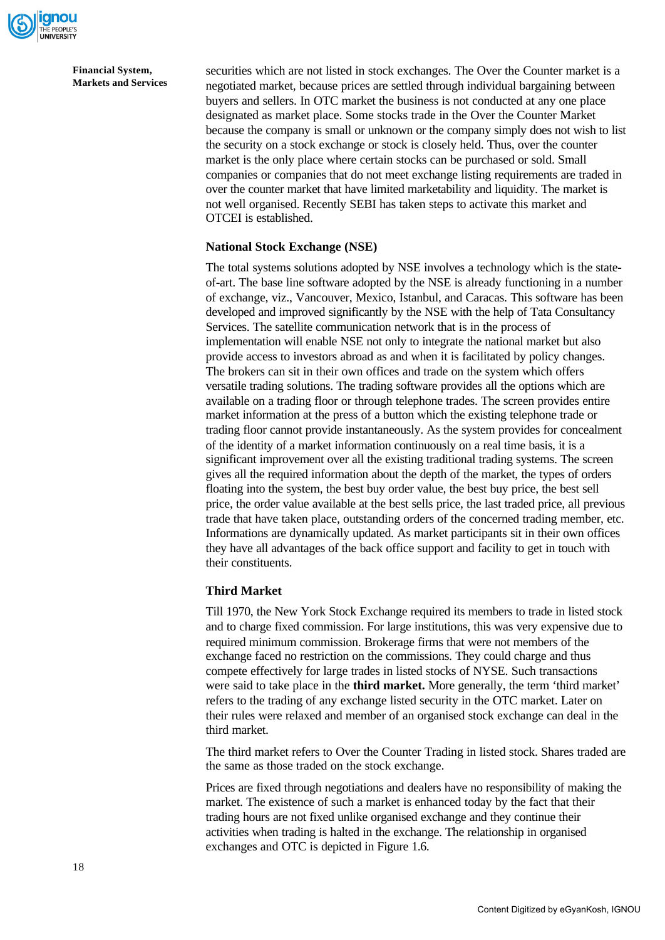

securities which are not listed in stock exchanges. The Over the Counter market is a negotiated market, because prices are settled through individual bargaining between buyers and sellers. In OTC market the business is not conducted at any one place designated as market place. Some stocks trade in the Over the Counter Market because the company is small or unknown or the company simply does not wish to list the security on a stock exchange or stock is closely held. Thus, over the counter market is the only place where certain stocks can be purchased or sold. Small companies or companies that do not meet exchange listing requirements are traded in over the counter market that have limited marketability and liquidity. The market is not well organised. Recently SEBI has taken steps to activate this market and OTCEI is established.

#### **National Stock Exchange (NSE)**

The total systems solutions adopted by NSE involves a technology which is the stateof-art. The base line software adopted by the NSE is already functioning in a number of exchange, viz., Vancouver, Mexico, Istanbul, and Caracas. This software has been developed and improved significantly by the NSE with the help of Tata Consultancy Services. The satellite communication network that is in the process of implementation will enable NSE not only to integrate the national market but also provide access to investors abroad as and when it is facilitated by policy changes. The brokers can sit in their own offices and trade on the system which offers versatile trading solutions. The trading software provides all the options which are available on a trading floor or through telephone trades. The screen provides entire market information at the press of a button which the existing telephone trade or trading floor cannot provide instantaneously. As the system provides for concealment of the identity of a market information continuously on a real time basis, it is a significant improvement over all the existing traditional trading systems. The screen gives all the required information about the depth of the market, the types of orders floating into the system, the best buy order value, the best buy price, the best sell price, the order value available at the best sells price, the last traded price, all previous trade that have taken place, outstanding orders of the concerned trading member, etc. Informations are dynamically updated. As market participants sit in their own offices they have all advantages of the back office support and facility to get in touch with their constituents.

### **Third Market**

Till 1970, the New York Stock Exchange required its members to trade in listed stock and to charge fixed commission. For large institutions, this was very expensive due to required minimum commission. Brokerage firms that were not members of the exchange faced no restriction on the commissions. They could charge and thus compete effectively for large trades in listed stocks of NYSE. Such transactions were said to take place in the **third market.** More generally, the term 'third market' refers to the trading of any exchange listed security in the OTC market. Later on their rules were relaxed and member of an organised stock exchange can deal in the third market.

The third market refers to Over the Counter Trading in listed stock. Shares traded are the same as those traded on the stock exchange.

Prices are fixed through negotiations and dealers have no responsibility of making the market. The existence of such a market is enhanced today by the fact that their trading hours are not fixed unlike organised exchange and they continue their activities when trading is halted in the exchange. The relationship in organised exchanges and OTC is depicted in Figure 1.6.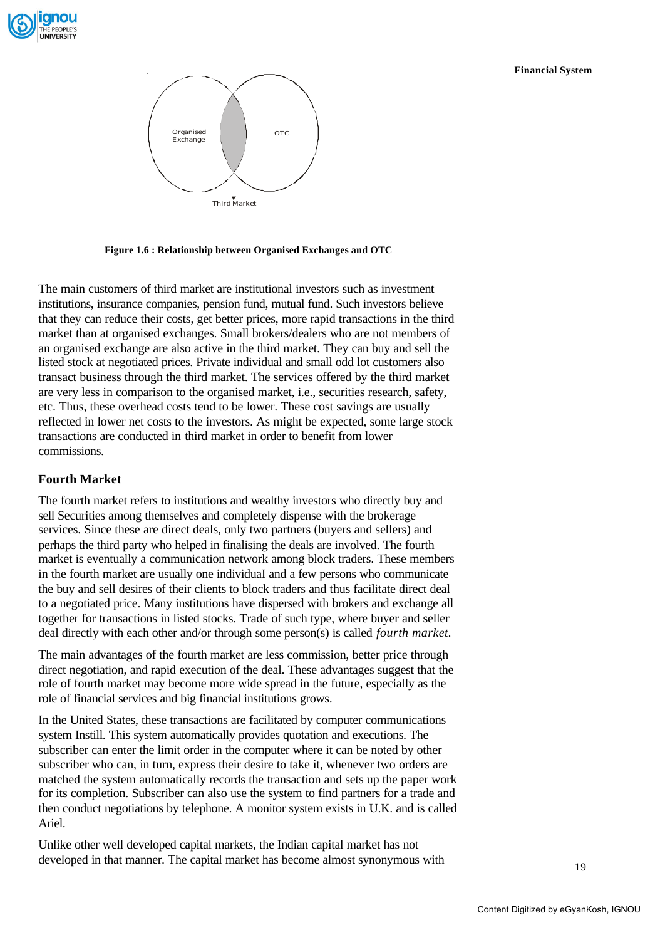





**Figure 1.6 : Relationship between Organised Exchanges and OTC**

The main customers of third market are institutional investors such as investment institutions, insurance companies, pension fund, mutual fund. Such investors believe that they can reduce their costs, get better prices, more rapid transactions in the third market than at organised exchanges. Small brokers/dealers who are not members of an organised exchange are also active in the third market. They can buy and sell the listed stock at negotiated prices. Private individual and small odd lot customers also transact business through the third market. The services offered by the third market are very less in comparison to the organised market, i.e., securities research, safety, etc. Thus, these overhead costs tend to be lower. These cost savings are usually reflected in lower net costs to the investors. As might be expected, some large stock transactions are conducted in third market in order to benefit from lower commissions.

#### **Fourth Market**

The fourth market refers to institutions and wealthy investors who directly buy and sell Securities among themselves and completely dispense with the brokerage services. Since these are direct deals, only two partners (buyers and sellers) and perhaps the third party who helped in finalising the deals are involved. The fourth market is eventually a communication network among block traders. These members in the fourth market are usually one individuaI and a few persons who communicate the buy and sell desires of their clients to block traders and thus facilitate direct deal to a negotiated price. Many institutions have dispersed with brokers and exchange all together for transactions in listed stocks. Trade of such type, where buyer and seller deal directly with each other and/or through some person(s) is called *fourth market.*

The main advantages of the fourth market are less commission, better price through direct negotiation, and rapid execution of the deal. These advantages suggest that the role of fourth market may become more wide spread in the future, especially as the role of financial services and big financial institutions grows.

In the United States, these transactions are facilitated by computer communications system Instill. This system automatically provides quotation and executions. The subscriber can enter the limit order in the computer where it can be noted by other subscriber who can, in turn, express their desire to take it, whenever two orders are matched the system automatically records the transaction and sets up the paper work for its completion. Subscriber can also use the system to find partners for a trade and then conduct negotiations by telephone. A monitor system exists in U.K. and is called Ariel.

Unlike other well developed capital markets, the Indian capital market has not developed in that manner. The capital market has become almost synonymous with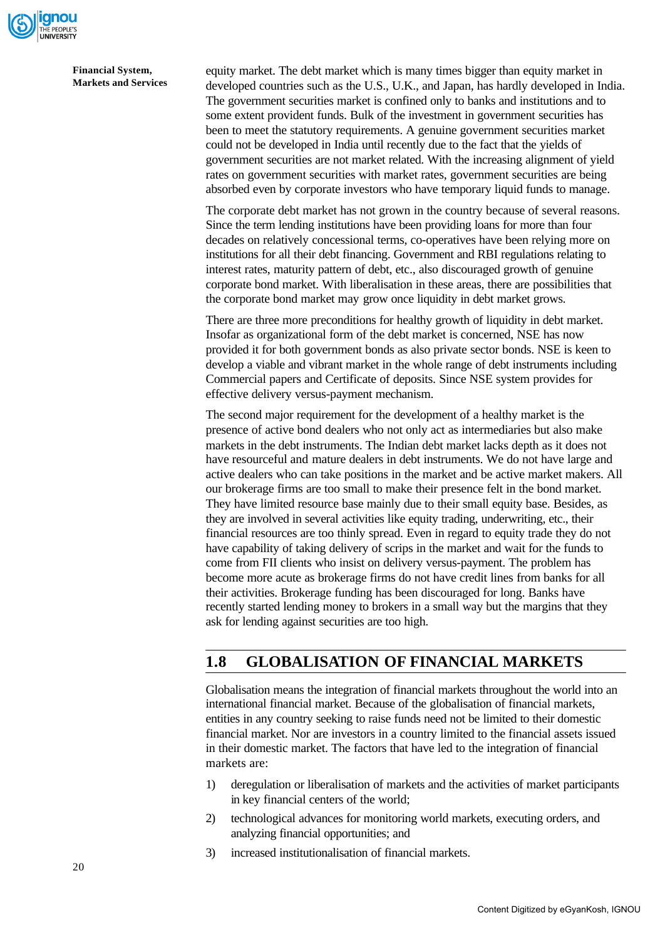

equity market. The debt market which is many times bigger than equity market in developed countries such as the U.S., U.K., and Japan, has hardly developed in India. The government securities market is confined only to banks and institutions and to some extent provident funds. Bulk of the investment in government securities has been to meet the statutory requirements. A genuine government securities market could not be developed in India until recently due to the fact that the yields of government securities are not market related. With the increasing alignment of yield rates on government securities with market rates, government securities are being absorbed even by corporate investors who have temporary liquid funds to manage.

The corporate debt market has not grown in the country because of several reasons. Since the term lending institutions have been providing loans for more than four decades on relatively concessional terms, co-operatives have been relying more on institutions for all their debt financing. Government and RBI regulations relating to interest rates, maturity pattern of debt, etc., also discouraged growth of genuine corporate bond market. With liberalisation in these areas, there are possibilities that the corporate bond market may grow once liquidity in debt market grows.

There are three more preconditions for healthy growth of liquidity in debt market. Insofar as organizational form of the debt market is concerned, NSE has now provided it for both government bonds as also private sector bonds. NSE is keen to develop a viable and vibrant market in the whole range of debt instruments including Commercial papers and Certificate of deposits. Since NSE system provides for effective delivery versus-payment mechanism.

The second major requirement for the development of a healthy market is the presence of active bond dealers who not only act as intermediaries but also make markets in the debt instruments. The Indian debt market lacks depth as it does not have resourceful and mature dealers in debt instruments. We do not have large and active dealers who can take positions in the market and be active market makers. All our brokerage firms are too small to make their presence felt in the bond market. They have limited resource base mainly due to their small equity base. Besides, as they are involved in several activities like equity trading, underwriting, etc., their financial resources are too thinly spread. Even in regard to equity trade they do not have capability of taking delivery of scrips in the market and wait for the funds to come from FII clients who insist on delivery versus-payment. The problem has become more acute as brokerage firms do not have credit lines from banks for all their activities. Brokerage funding has been discouraged for long. Banks have recently started lending money to brokers in a small way but the margins that they ask for lending against securities are too high.

### **1.8 GLOBALISATION OF FINANCIAL MARKETS**

Globalisation means the integration of financial markets throughout the world into an international financial market. Because of the globalisation of financial markets, entities in any country seeking to raise funds need not be limited to their domestic financial market. Nor are investors in a country limited to the financial assets issued in their domestic market. The factors that have led to the integration of financial markets are:

- 1) deregulation or liberalisation of markets and the activities of market participants in key financial centers of the world;
- 2) technological advances for monitoring world markets, executing orders, and analyzing financial opportunities; and
- 3) increased institutionalisation of financial markets.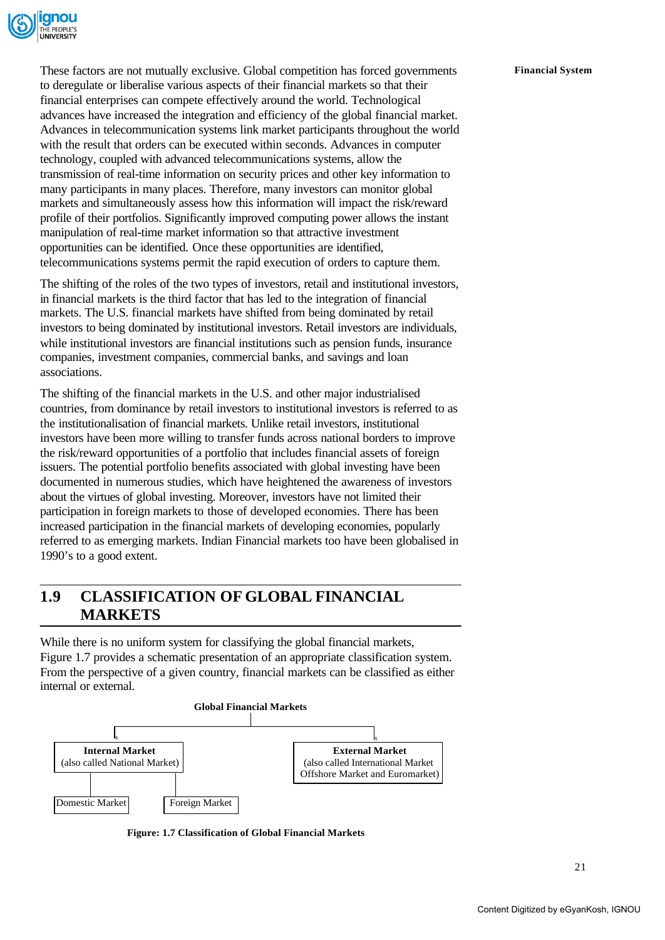

These factors are not mutually exclusive. Global competition has forced governments **Financial System** to deregulate or liberalise various aspects of their financial markets so that their financial enterprises can compete effectively around the world. Technological advances have increased the integration and efficiency of the global financial market. Advances in telecommunication systems link market participants throughout the world with the result that orders can be executed within seconds. Advances in computer technology, coupled with advanced telecommunications systems, allow the transmission of real-time information on security prices and other key information to many participants in many places. Therefore, many investors can monitor global markets and simultaneously assess how this information will impact the risk/reward profile of their portfolios. Significantly improved computing power allows the instant manipulation of real-time market information so that attractive investment opportunities can be identified. Once these opportunities are identified, telecommunications systems permit the rapid execution of orders to capture them.

The shifting of the roles of the two types of investors, retail and institutional investors, in financial markets is the third factor that has led to the integration of financial markets. The U.S. financial markets have shifted from being dominated by retail investors to being dominated by institutional investors. Retail investors are individuals, while institutional investors are financial institutions such as pension funds, insurance companies, investment companies, commercial banks, and savings and loan associations.

The shifting of the financial markets in the U.S. and other major industrialised countries, from dominance by retail investors to institutional investors is referred to as the institutionalisation of financial markets. Unlike retail investors, institutional investors have been more willing to transfer funds across national borders to improve the risk/reward opportunities of a portfolio that includes financial assets of foreign issuers. The potential portfolio benefits associated with global investing have been documented in numerous studies, which have heightened the awareness of investors about the virtues of global investing. Moreover, investors have not limited their participation in foreign markets to those of developed economies. There has been increased participation in the financial markets of developing economies, popularly referred to as emerging markets. Indian Financial markets too have been globalised in 1990's to a good extent.

## **1.9 CLASSIFICATION OF GLOBAL FINANCIAL MARKETS**

While there is no uniform system for classifying the global financial markets, Figure 1.7 provides a schematic presentation of an appropriate classification system. From the perspective of a given country, financial markets can be classified as either internal or external.



**Figure: 1.7 Classification of Global Financial Markets**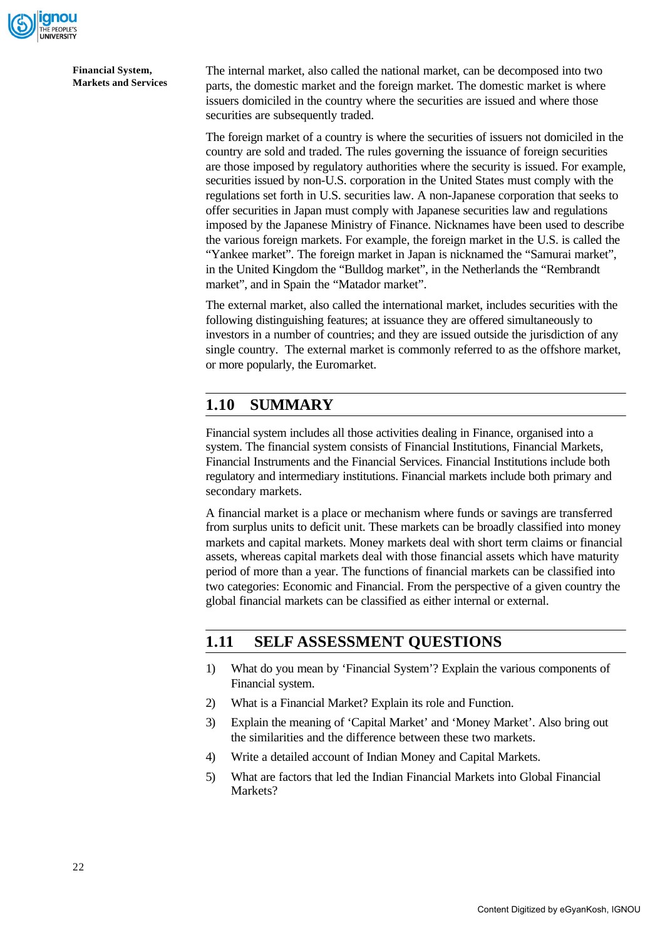

The internal market, also called the national market, can be decomposed into two parts, the domestic market and the foreign market. The domestic market is where issuers domiciled in the country where the securities are issued and where those securities are subsequently traded.

The foreign market of a country is where the securities of issuers not domiciled in the country are sold and traded. The rules governing the issuance of foreign securities are those imposed by regulatory authorities where the security is issued. For example, securities issued by non-U.S. corporation in the United States must comply with the regulations set forth in U.S. securities law. A non-Japanese corporation that seeks to offer securities in Japan must comply with Japanese securities law and regulations imposed by the Japanese Ministry of Finance. Nicknames have been used to describe the various foreign markets. For example, the foreign market in the U.S. is called the "Yankee market". The foreign market in Japan is nicknamed the "Samurai market", in the United Kingdom the "Bulldog market", in the Netherlands the "Rembrandt market", and in Spain the "Matador market".

The external market, also called the international market, includes securities with the following distinguishing features; at issuance they are offered simultaneously to investors in a number of countries; and they are issued outside the jurisdiction of any single country. The external market is commonly referred to as the offshore market, or more popularly, the Euromarket.

### **1.10 SUMMARY**

Financial system includes all those activities dealing in Finance, organised into a system. The financial system consists of Financial Institutions, Financial Markets, Financial Instruments and the Financial Services. Financial Institutions include both regulatory and intermediary institutions. Financial markets include both primary and secondary markets.

A financial market is a place or mechanism where funds or savings are transferred from surplus units to deficit unit. These markets can be broadly classified into money markets and capital markets. Money markets deal with short term claims or financial assets, whereas capital markets deal with those financial assets which have maturity period of more than a year. The functions of financial markets can be classified into two categories: Economic and Financial. From the perspective of a given country the global financial markets can be classified as either internal or external.

### **1.11 SELF ASSESSMENT QUESTIONS**

- 1) What do you mean by 'Financial System'? Explain the various components of Financial system.
- 2) What is a Financial Market? Explain its role and Function.
- 3) Explain the meaning of 'Capital Market' and 'Money Market'. Also bring out the similarities and the difference between these two markets.
- 4) Write a detailed account of Indian Money and Capital Markets.
- 5) What are factors that led the Indian Financial Markets into Global Financial Markets?